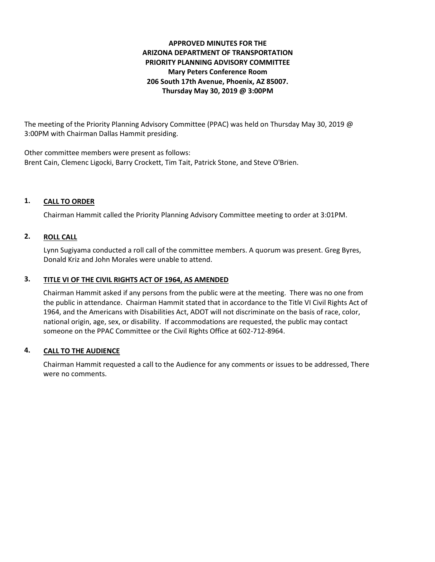# **APPROVED MINUTES FOR THE ARIZONA DEPARTMENT OF TRANSPORTATION PRIORITY PLANNING ADVISORY COMMITTEE Mary Peters Conference Room 206 South 17th Avenue, Phoenix, AZ 85007. Thursday May 30, 2019 @ 3:00PM**

The meeting of the Priority Planning Advisory Committee (PPAC) was held on Thursday May 30, 2019 @ 3:00PM with Chairman Dallas Hammit presiding.

Other committee members were present as follows: Brent Cain, Clemenc Ligocki, Barry Crockett, Tim Tait, Patrick Stone, and Steve O'Brien.

# **1. CALL TO ORDER**

Chairman Hammit called the Priority Planning Advisory Committee meeting to order at 3:01PM.

## **2. ROLL CALL**

Lynn Sugiyama conducted a roll call of the committee members. A quorum was present. Greg Byres, Donald Kriz and John Morales were unable to attend.

## **3. TITLE VI OF THE CIVIL RIGHTS ACT OF 1964, AS AMENDED**

Chairman Hammit asked if any persons from the public were at the meeting. There was no one from the public in attendance. Chairman Hammit stated that in accordance to the Title VI Civil Rights Act of 1964, and the Americans with Disabilities Act, ADOT will not discriminate on the basis of race, color, national origin, age, sex, or disability. If accommodations are requested, the public may contact someone on the PPAC Committee or the Civil Rights Office at 602-712-8964.

## **4. CALL TO THE AUDIENCE**

Chairman Hammit requested a call to the Audience for any comments or issues to be addressed, There were no comments.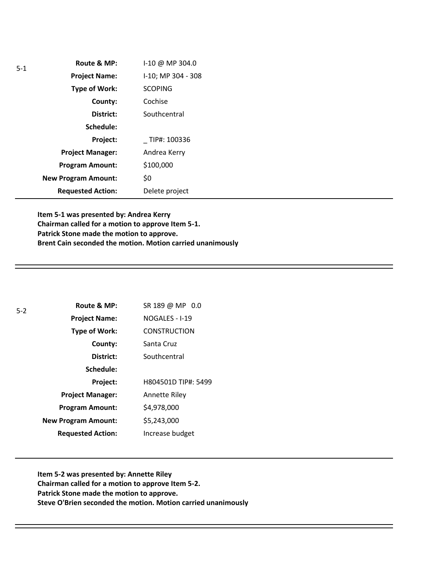| $5-1$ | Route & MP:                | I-10 @ MP 304.0    |
|-------|----------------------------|--------------------|
|       | <b>Project Name:</b>       | I-10; MP 304 - 308 |
|       | <b>Type of Work:</b>       | <b>SCOPING</b>     |
|       | County:                    | Cochise            |
|       | District:                  | Southcentral       |
|       | Schedule:                  |                    |
|       | Project:                   | TIP#: 100336       |
|       | <b>Project Manager:</b>    | Andrea Kerry       |
|       | <b>Program Amount:</b>     | \$100,000          |
|       | <b>New Program Amount:</b> | \$0                |
|       | <b>Requested Action:</b>   | Delete project     |

**Item 5-1 was presented by: Andrea Kerry Chairman called for a motion to approve Item 5-1. Patrick Stone made the motion to approve. Brent Cain seconded the motion. Motion carried unanimously**

| $5 - 2$ | Route & MP:                | SR 189 @ MP 0.0     |
|---------|----------------------------|---------------------|
|         | <b>Project Name:</b>       | NOGALES - I-19      |
|         | Type of Work:              | <b>CONSTRUCTION</b> |
|         | County:                    | Santa Cruz          |
|         | District:                  | Southcentral        |
|         | Schedule:                  |                     |
|         | Project:                   | H804501D TIP#: 5499 |
|         | <b>Project Manager:</b>    | Annette Riley       |
|         | <b>Program Amount:</b>     | \$4,978,000         |
|         | <b>New Program Amount:</b> | \$5,243,000         |
|         | <b>Requested Action:</b>   | Increase budget     |

**Item 5-2 was presented by: Annette Riley Chairman called for a motion to approve Item 5-2. Patrick Stone made the motion to approve. Steve O'Brien seconded the motion. Motion carried unanimously**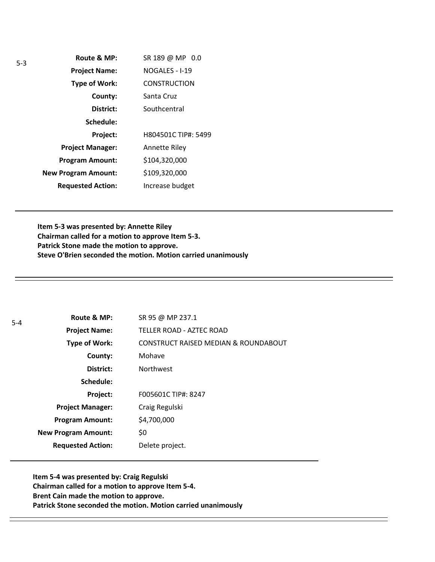| Route & MP:                | SR 189 @ MP 0.0     |
|----------------------------|---------------------|
| <b>Project Name:</b>       | NOGALES - I-19      |
| Type of Work:              | <b>CONSTRUCTION</b> |
| County:                    | Santa Cruz          |
| District:                  | Southcentral        |
| Schedule:                  |                     |
| Project:                   | H804501C TIP#: 5499 |
| <b>Project Manager:</b>    | Annette Riley       |
| <b>Program Amount:</b>     | \$104,320,000       |
| <b>New Program Amount:</b> | \$109,320,000       |
| <b>Requested Action:</b>   | Increase budget     |

**Item 5-3 was presented by: Annette Riley Chairman called for a motion to approve Item 5-3. Patrick Stone made the motion to approve. Steve O'Brien seconded the motion. Motion carried unanimously**

| $5 - 4$ | Route & MP:                | SR 95 @ MP 237.1                     |
|---------|----------------------------|--------------------------------------|
|         | <b>Project Name:</b>       | TELLER ROAD - AZTEC ROAD             |
|         | Type of Work:              | CONSTRUCT RAISED MEDIAN & ROUNDABOUT |
|         | County:                    | Mohave                               |
|         | District:                  | <b>Northwest</b>                     |
|         | Schedule:                  |                                      |
|         | Project:                   | F005601C TIP#: 8247                  |
|         | <b>Project Manager:</b>    | Craig Regulski                       |
|         | <b>Program Amount:</b>     | \$4,700,000                          |
|         | <b>New Program Amount:</b> | \$0                                  |
|         | <b>Requested Action:</b>   | Delete project.                      |

**Item 5-4 was presented by: Craig Regulski Chairman called for a motion to approve Item 5-4. Brent Cain made the motion to approve. Patrick Stone seconded the motion. Motion carried unanimously**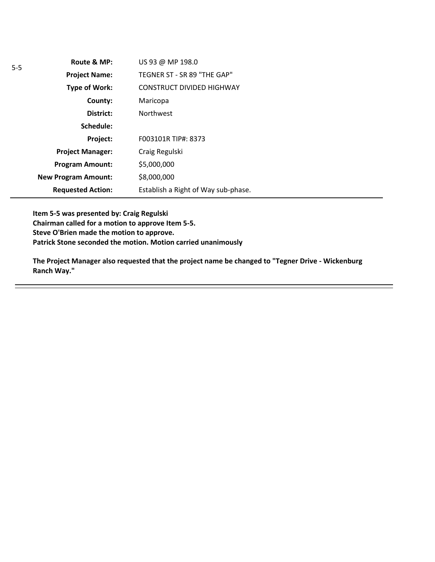| Route & MP:                | US 93 @ MP 198.0                    |
|----------------------------|-------------------------------------|
| <b>Project Name:</b>       | TEGNER ST - SR 89 "THE GAP"         |
| Type of Work:              | <b>CONSTRUCT DIVIDED HIGHWAY</b>    |
| County:                    | Maricopa                            |
| District:                  | <b>Northwest</b>                    |
| Schedule:                  |                                     |
| <b>Project:</b>            | F003101R TIP#: 8373                 |
| <b>Project Manager:</b>    | Craig Regulski                      |
| <b>Program Amount:</b>     | \$5,000,000                         |
| <b>New Program Amount:</b> | \$8,000,000                         |
| <b>Requested Action:</b>   | Establish a Right of Way sub-phase. |

**Item 5-5 was presented by: Craig Regulski Chairman called for a motion to approve Item 5-5. Steve O'Brien made the motion to approve. Patrick Stone seconded the motion. Motion carried unanimously**

**The Project Manager also requested that the project name be changed to "Tegner Drive - Wickenburg Ranch Way."**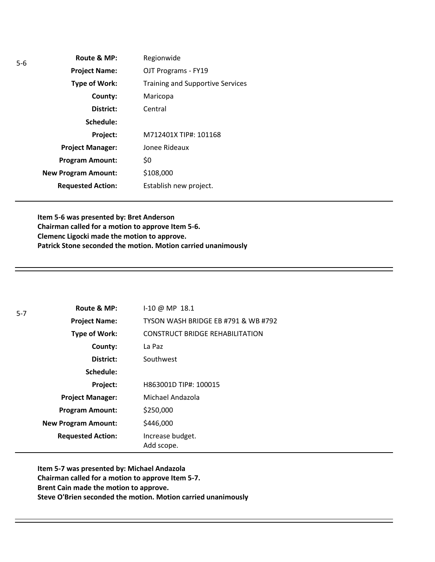| Route & MP:                | Regionwide                              |
|----------------------------|-----------------------------------------|
| <b>Project Name:</b>       | OJT Programs - FY19                     |
| Type of Work:              | <b>Training and Supportive Services</b> |
| County:                    | Maricopa                                |
| District:                  | Central                                 |
| Schedule:                  |                                         |
| Project:                   | M712401X TIP#: 101168                   |
| <b>Project Manager:</b>    | Jonee Rideaux                           |
| <b>Program Amount:</b>     | \$0                                     |
| <b>New Program Amount:</b> | \$108,000                               |
| <b>Requested Action:</b>   | Establish new project.                  |
|                            |                                         |

**Item 5-6 was presented by: Bret Anderson Chairman called for a motion to approve Item 5-6. Clemenc Ligocki made the motion to approve. Patrick Stone seconded the motion. Motion carried unanimously**

| $5 - 7$ | Route & MP:                | $1-10 \omega$ MP 18.1                  |
|---------|----------------------------|----------------------------------------|
|         | <b>Project Name:</b>       | TYSON WASH BRIDGE EB #791 & WB #792    |
|         | <b>Type of Work:</b>       | <b>CONSTRUCT BRIDGE REHABILITATION</b> |
|         | County:                    | La Paz                                 |
|         | District:                  | Southwest                              |
|         | Schedule:                  |                                        |
|         | Project:                   | H863001D TIP#: 100015                  |
|         | <b>Project Manager:</b>    | Michael Andazola                       |
|         | <b>Program Amount:</b>     | \$250,000                              |
|         | <b>New Program Amount:</b> | \$446,000                              |
|         | <b>Requested Action:</b>   | Increase budget.<br>Add scope.         |

**Item 5-7 was presented by: Michael Andazola Chairman called for a motion to approve Item 5-7. Brent Cain made the motion to approve. Steve O'Brien seconded the motion. Motion carried unanimously**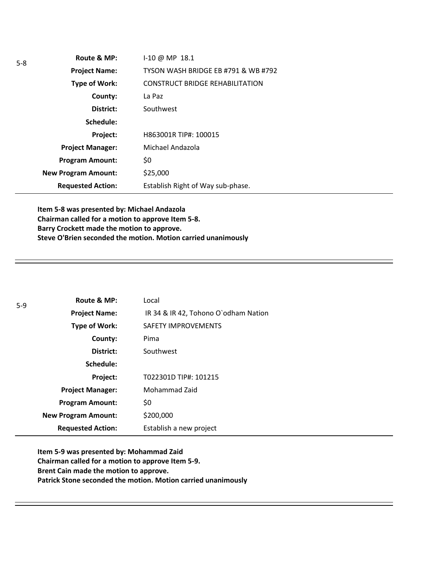| $1-10 \omega$ MP $18.1$                |
|----------------------------------------|
| TYSON WASH BRIDGE EB #791 & WB #792    |
| <b>CONSTRUCT BRIDGE REHABILITATION</b> |
| La Paz                                 |
| Southwest                              |
|                                        |
| H863001R TIP#: 100015                  |
| Michael Andazola                       |
| \$0                                    |
| \$25,000                               |
| Establish Right of Way sub-phase.      |
|                                        |

**Item 5-8 was presented by: Michael Andazola Chairman called for a motion to approve Item 5-8. Barry Crockett made the motion to approve. Steve O'Brien seconded the motion. Motion carried unanimously**

| $5-9$ | Route & MP:                | Local                                |
|-------|----------------------------|--------------------------------------|
|       | <b>Project Name:</b>       | IR 34 & IR 42, Tohono O'odham Nation |
|       | <b>Type of Work:</b>       | <b>SAFETY IMPROVEMENTS</b>           |
|       | County:                    | Pima                                 |
|       | District:                  | Southwest                            |
|       | Schedule:                  |                                      |
|       | Project:                   | T022301D TIP#: 101215                |
|       | <b>Project Manager:</b>    | Mohammad Zaid                        |
|       | <b>Program Amount:</b>     | \$0                                  |
|       | <b>New Program Amount:</b> | \$200,000                            |
|       | <b>Requested Action:</b>   | Establish a new project              |

**Item 5-9 was presented by: Mohammad Zaid Chairman called for a motion to approve Item 5-9. Brent Cain made the motion to approve. Patrick Stone seconded the motion. Motion carried unanimously**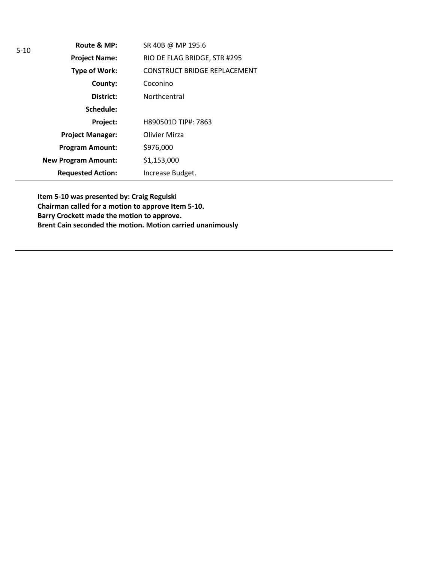| $5-10$ | Route & MP:                | SR 40B @ MP 195.6                   |
|--------|----------------------------|-------------------------------------|
|        | <b>Project Name:</b>       | RIO DE FLAG BRIDGE, STR #295        |
|        | Type of Work:              | <b>CONSTRUCT BRIDGE REPLACEMENT</b> |
|        | County:                    | Coconino                            |
|        | District:                  | Northcentral                        |
|        | Schedule:                  |                                     |
|        | Project:                   | H890501D TIP#: 7863                 |
|        | <b>Project Manager:</b>    | <b>Olivier Mirza</b>                |
|        | <b>Program Amount:</b>     | \$976,000                           |
|        | <b>New Program Amount:</b> | \$1,153,000                         |
|        | <b>Requested Action:</b>   | Increase Budget.                    |

**Item 5-10 was presented by: Craig Regulski Chairman called for a motion to approve Item 5-10. Barry Crockett made the motion to approve. Brent Cain seconded the motion. Motion carried unanimously**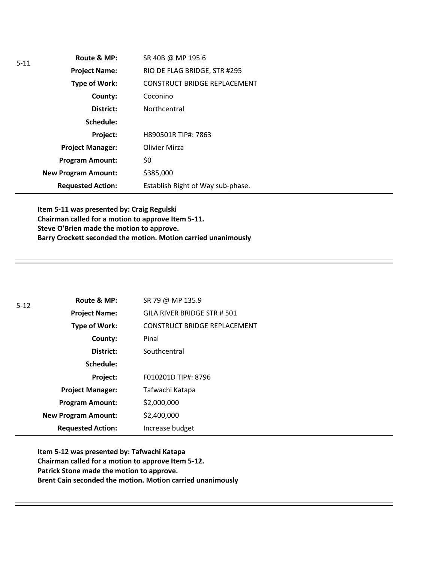| $5 - 11$ | Route & MP:                | SR 40B @ MP 195.6                   |
|----------|----------------------------|-------------------------------------|
|          | <b>Project Name:</b>       | RIO DE FLAG BRIDGE, STR #295        |
|          | Type of Work:              | <b>CONSTRUCT BRIDGE REPLACEMENT</b> |
|          | County:                    | Coconino                            |
|          | District:                  | Northcentral                        |
|          | Schedule:                  |                                     |
|          | Project:                   | H890501R TIP#: 7863                 |
|          | <b>Project Manager:</b>    | <b>Olivier Mirza</b>                |
|          | <b>Program Amount:</b>     | \$0                                 |
|          | <b>New Program Amount:</b> | \$385,000                           |
|          | <b>Requested Action:</b>   | Establish Right of Way sub-phase.   |

**Item 5-11 was presented by: Craig Regulski Chairman called for a motion to approve Item 5-11. Steve O'Brien made the motion to approve. Barry Crockett seconded the motion. Motion carried unanimously**

| $5 - 12$ | Route & MP:                | SR 79 @ MP 135.9             |
|----------|----------------------------|------------------------------|
|          | <b>Project Name:</b>       | GILA RIVER BRIDGE STR # 501  |
|          | Type of Work:              | CONSTRUCT BRIDGE REPLACEMENT |
|          | County:                    | Pinal                        |
|          | District:                  | Southcentral                 |
|          | Schedule:                  |                              |
|          | Project:                   | F010201D TIP#: 8796          |
|          | <b>Project Manager:</b>    | Tafwachi Katapa              |
|          | <b>Program Amount:</b>     | \$2,000,000                  |
|          | <b>New Program Amount:</b> | \$2,400,000                  |
|          | <b>Requested Action:</b>   | Increase budget              |

**Item 5-12 was presented by: Tafwachi Katapa Chairman called for a motion to approve Item 5-12. Patrick Stone made the motion to approve. Brent Cain seconded the motion. Motion carried unanimously**